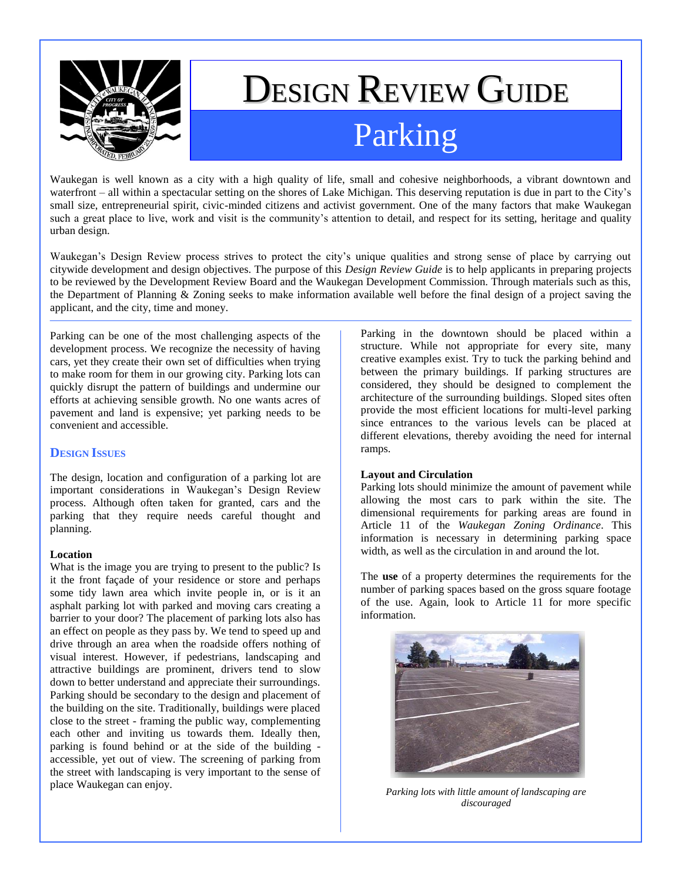

# DESIGN REVIEW GUIDE

# Parking

Waukegan is well known as a city with a high quality of life, small and cohesive neighborhoods, a vibrant downtown and waterfront – all within a spectacular setting on the shores of Lake Michigan. This deserving reputation is due in part to the City's small size, entrepreneurial spirit, civic-minded citizens and activist government. One of the many factors that make Waukegan such a great place to live, work and visit is the community's attention to detail, and respect for its setting, heritage and quality urban design.

Waukegan"s Design Review process strives to protect the city"s unique qualities and strong sense of place by carrying out citywide development and design objectives. The purpose of this *Design Review Guide* is to help applicants in preparing projects to be reviewed by the Development Review Board and the Waukegan Development Commission. Through materials such as this, the Department of Planning & Zoning seeks to make information available well before the final design of a project saving the applicant, and the city, time and money.

Parking can be one of the most challenging aspects of the development process. We recognize the necessity of having cars, yet they create their own set of difficulties when trying to make room for them in our growing city. Parking lots can quickly disrupt the pattern of buildings and undermine our efforts at achieving sensible growth. No one wants acres of pavement and land is expensive; yet parking needs to be convenient and accessible.

# **DESIGN ISSUES**

The design, location and configuration of a parking lot are important considerations in Waukegan"s Design Review process. Although often taken for granted, cars and the parking that they require needs careful thought and planning.

## **Location**

What is the image you are trying to present to the public? Is it the front façade of your residence or store and perhaps some tidy lawn area which invite people in, or is it an asphalt parking lot with parked and moving cars creating a barrier to your door? The placement of parking lots also has an effect on people as they pass by. We tend to speed up and drive through an area when the roadside offers nothing of visual interest. However, if pedestrians, landscaping and attractive buildings are prominent, drivers tend to slow down to better understand and appreciate their surroundings. Parking should be secondary to the design and placement of the building on the site. Traditionally, buildings were placed close to the street - framing the public way, complementing each other and inviting us towards them. Ideally then, parking is found behind or at the side of the building accessible, yet out of view. The screening of parking from the street with landscaping is very important to the sense of place Waukegan can enjoy.

Parking in the downtown should be placed within a structure. While not appropriate for every site, many creative examples exist. Try to tuck the parking behind and between the primary buildings. If parking structures are considered, they should be designed to complement the architecture of the surrounding buildings. Sloped sites often provide the most efficient locations for multi-level parking since entrances to the various levels can be placed at different elevations, thereby avoiding the need for internal ramps.

## **Layout and Circulation**

Parking lots should minimize the amount of pavement while allowing the most cars to park within the site. The dimensional requirements for parking areas are found in Article 11 of the *Waukegan Zoning Ordinance*. This information is necessary in determining parking space width, as well as the circulation in and around the lot.

The **use** of a property determines the requirements for the number of parking spaces based on the gross square footage of the use. Again, look to Article 11 for more specific information.



*Parking lots with little amount of landscaping are discouraged*